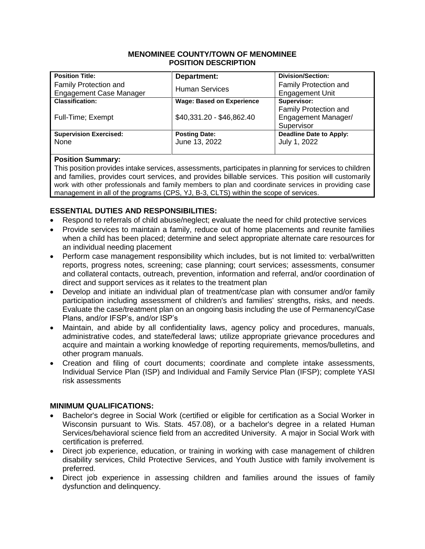#### **MENOMINEE COUNTY/TOWN OF MENOMINEE POSITION DESCRIPTION**

| <b>Position Title:</b>                                  | Department:                      | <b>Division/Section:</b>                        |
|---------------------------------------------------------|----------------------------------|-------------------------------------------------|
| Family Protection and<br><b>Engagement Case Manager</b> | <b>Human Services</b>            | Family Protection and<br><b>Engagement Unit</b> |
| <b>Classification:</b>                                  | <b>Wage: Based on Experience</b> | Supervisor:                                     |
|                                                         |                                  | Family Protection and                           |
| Full-Time; Exempt                                       | \$40,331.20 - \$46,862.40        | Engagement Manager/                             |
|                                                         |                                  | Supervisor                                      |
| <b>Supervision Exercised:</b>                           | <b>Posting Date:</b>             | <b>Deadline Date to Apply:</b>                  |
| None                                                    | June 13, 2022                    | July 1, 2022                                    |
|                                                         |                                  |                                                 |

## **Position Summary:**

This position provides intake services, assessments, participates in planning for services to children and families, provides court services, and provides billable services. This position will customarily work with other professionals and family members to plan and coordinate services in providing case management in all of the programs (CPS, YJ, B-3, CLTS) within the scope of services.

# **ESSENTIAL DUTIES AND RESPONSIBILITIES:**

- Respond to referrals of child abuse/neglect; evaluate the need for child protective services
- Provide services to maintain a family, reduce out of home placements and reunite families when a child has been placed; determine and select appropriate alternate care resources for an individual needing placement
- Perform case management responsibility which includes, but is not limited to: verbal/written reports, progress notes, screening; case planning; court services; assessments, consumer and collateral contacts, outreach, prevention, information and referral, and/or coordination of direct and support services as it relates to the treatment plan
- Develop and initiate an individual plan of treatment/case plan with consumer and/or family participation including assessment of children's and families' strengths, risks, and needs. Evaluate the case/treatment plan on an ongoing basis including the use of Permanency/Case Plans, and/or IFSP's, and/or ISP's
- Maintain, and abide by all confidentiality laws, agency policy and procedures, manuals, administrative codes, and state/federal laws; utilize appropriate grievance procedures and acquire and maintain a working knowledge of reporting requirements, memos/bulletins, and other program manuals.
- Creation and filing of court documents; coordinate and complete intake assessments, Individual Service Plan (ISP) and Individual and Family Service Plan (IFSP); complete YASI risk assessments

## **MINIMUM QUALIFICATIONS:**

- Bachelor's degree in Social Work (certified or eligible for certification as a Social Worker in Wisconsin pursuant to Wis. Stats. 457.08), or a bachelor's degree in a related Human Services/behavioral science field from an accredited University. A major in Social Work with certification is preferred.
- Direct job experience, education, or training in working with case management of children disability services, Child Protective Services, and Youth Justice with family involvement is preferred.
- Direct job experience in assessing children and families around the issues of family dysfunction and delinquency.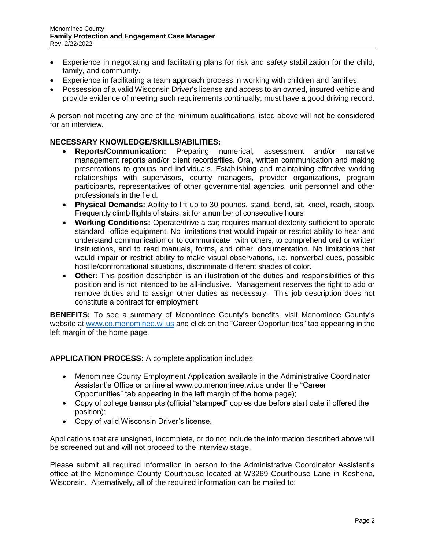- Experience in negotiating and facilitating plans for risk and safety stabilization for the child, family, and community.
- Experience in facilitating a team approach process in working with children and families.
- Possession of a valid Wisconsin Driver's license and access to an owned, insured vehicle and provide evidence of meeting such requirements continually; must have a good driving record.

A person not meeting any one of the minimum qualifications listed above will not be considered for an interview.

### **NECESSARY KNOWLEDGE/SKILLS/ABILITIES:**

- **Reports/Communication:** Preparing numerical, assessment and/or narrative management reports and/or client records/files. Oral, written communication and making presentations to groups and individuals. Establishing and maintaining effective working relationships with supervisors, county managers, provider organizations, program participants, representatives of other governmental agencies, unit personnel and other professionals in the field.
- **Physical Demands:** Ability to lift up to 30 pounds, stand, bend, sit, kneel, reach, stoop. Frequently climb flights of stairs; sit for a number of consecutive hours
- **Working Conditions:** Operate/drive a car; requires manual dexterity sufficient to operate standard office equipment. No limitations that would impair or restrict ability to hear and understand communication or to communicate with others, to comprehend oral or written instructions, and to read manuals, forms, and other documentation. No limitations that would impair or restrict ability to make visual observations, i.e. nonverbal cues, possible hostile/confrontational situations, discriminate different shades of color.
- **Other:** This position description is an illustration of the duties and responsibilities of this position and is not intended to be all-inclusive. Management reserves the right to add or remove duties and to assign other duties as necessary.This job description does not constitute a contract for employment

**BENEFITS:** To see a summary of Menominee County's benefits, visit Menominee County's website at [www.co.menominee.wi.us](http://www.co.menominee.wi.us/) and click on the "Career Opportunities" tab appearing in the left margin of the home page.

**APPLICATION PROCESS:** A complete application includes:

- Menominee County Employment Application available in the Administrative Coordinator Assistant's Office or online at [www.co.menominee.wi.us](http://www.co.menominee.wi.us/) under the "Career Opportunities" tab appearing in the left margin of the home page);
- Copy of college transcripts (official "stamped" copies due before start date if offered the position);
- Copy of valid Wisconsin Driver's license.

Applications that are unsigned, incomplete, or do not include the information described above will be screened out and will not proceed to the interview stage.

Please submit all required information in person to the Administrative Coordinator Assistant's office at the Menominee County Courthouse located at W3269 Courthouse Lane in Keshena, Wisconsin. Alternatively, all of the required information can be mailed to: